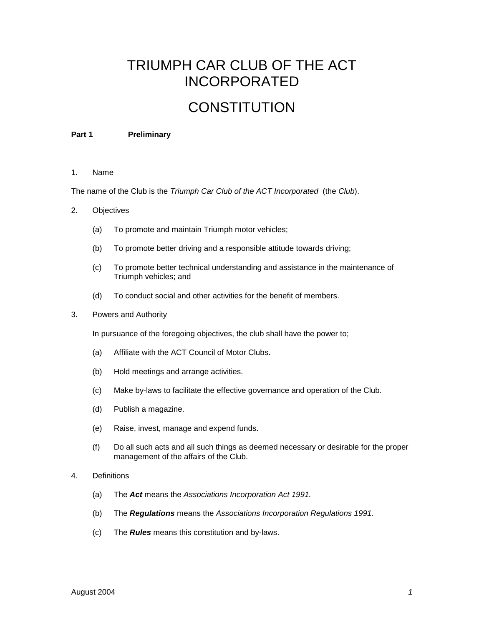# TRIUMPH CAR CLUB OF THE ACT INCORPORATED

# **CONSTITUTION**

#### **Part 1 Preliminary**

#### 1. Name

The name of the Club is the *Triumph Car Club of the ACT Incorporated* (the *Club*).

- 2. Objectives
	- (a) To promote and maintain Triumph motor vehicles;
	- (b) To promote better driving and a responsible attitude towards driving;
	- (c) To promote better technical understanding and assistance in the maintenance of Triumph vehicles; and
	- (d) To conduct social and other activities for the benefit of members.
- 3. Powers and Authority

In pursuance of the foregoing objectives, the club shall have the power to;

- (a) Affiliate with the ACT Council of Motor Clubs.
- (b) Hold meetings and arrange activities.
- (c) Make by-laws to facilitate the effective governance and operation of the Club.
- (d) Publish a magazine.
- (e) Raise, invest, manage and expend funds.
- (f) Do all such acts and all such things as deemed necessary or desirable for the proper management of the affairs of the Club.
- 4. Definitions
	- (a) The *Act* means the *Associations Incorporation Act 1991.*
	- (b) The *Regulations* means the *Associations Incorporation Regulations 1991.*
	- (c) The *Rules* means this constitution and by-laws.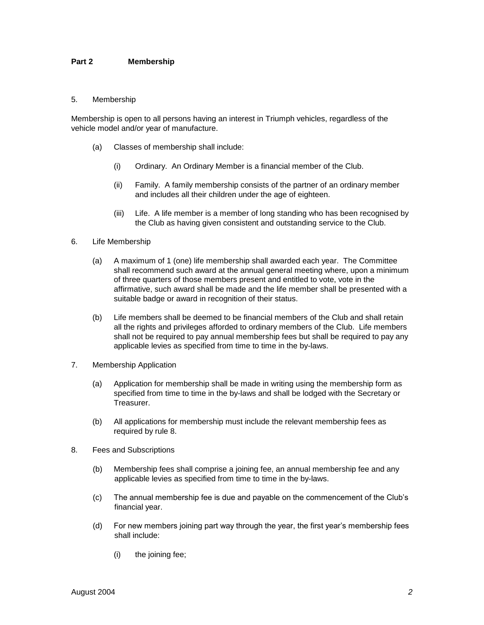# **Part 2 Membership**

#### 5. Membership

Membership is open to all persons having an interest in Triumph vehicles, regardless of the vehicle model and/or year of manufacture.

- (a) Classes of membership shall include:
	- (i) Ordinary. An Ordinary Member is a financial member of the Club.
	- (ii) Family. A family membership consists of the partner of an ordinary member and includes all their children under the age of eighteen.
	- (iii) Life. A life member is a member of long standing who has been recognised by the Club as having given consistent and outstanding service to the Club.
- 6. Life Membership
	- (a) A maximum of 1 (one) life membership shall awarded each year. The Committee shall recommend such award at the annual general meeting where, upon a minimum of three quarters of those members present and entitled to vote, vote in the affirmative, such award shall be made and the life member shall be presented with a suitable badge or award in recognition of their status.
	- (b) Life members shall be deemed to be financial members of the Club and shall retain all the rights and privileges afforded to ordinary members of the Club. Life members shall not be required to pay annual membership fees but shall be required to pay any applicable levies as specified from time to time in the by-laws.
- 7. Membership Application
	- (a) Application for membership shall be made in writing using the membership form as specified from time to time in the by-laws and shall be lodged with the Secretary or Treasurer.
	- (b) All applications for membership must include the relevant membership fees as required by rule 8.
- 8. Fees and Subscriptions
	- (b) Membership fees shall comprise a joining fee, an annual membership fee and any applicable levies as specified from time to time in the by-laws.
	- (c) The annual membership fee is due and payable on the commencement of the Club's financial year.
	- (d) For new members joining part way through the year, the first year's membership fees shall include:
		- (i) the joining fee;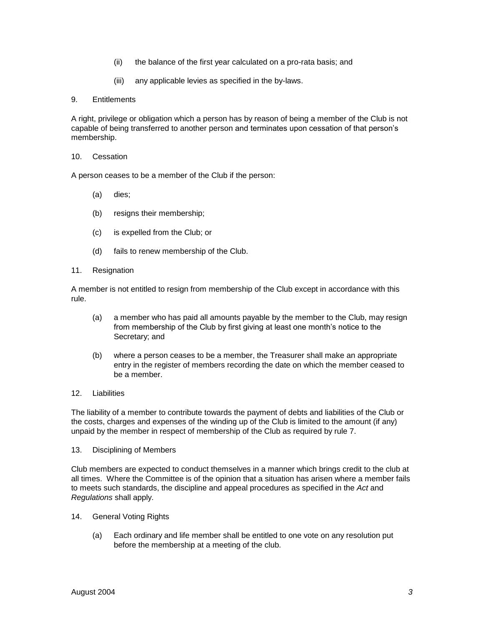- (ii) the balance of the first year calculated on a pro-rata basis; and
- (iii) any applicable levies as specified in the by-laws.

## 9. Entitlements

A right, privilege or obligation which a person has by reason of being a member of the Club is not capable of being transferred to another person and terminates upon cessation of that person's membership.

#### 10. Cessation

A person ceases to be a member of the Club if the person:

- (a) dies;
- (b) resigns their membership;
- (c) is expelled from the Club; or
- (d) fails to renew membership of the Club.
- 11. Resignation

A member is not entitled to resign from membership of the Club except in accordance with this rule.

- (a) a member who has paid all amounts payable by the member to the Club, may resign from membership of the Club by first giving at least one month's notice to the Secretary; and
- (b) where a person ceases to be a member, the Treasurer shall make an appropriate entry in the register of members recording the date on which the member ceased to be a member.
- 12. Liabilities

The liability of a member to contribute towards the payment of debts and liabilities of the Club or the costs, charges and expenses of the winding up of the Club is limited to the amount (if any) unpaid by the member in respect of membership of the Club as required by rule 7.

13. Disciplining of Members

Club members are expected to conduct themselves in a manner which brings credit to the club at all times. Where the Committee is of the opinion that a situation has arisen where a member fails to meets such standards, the discipline and appeal procedures as specified in the *Act* and *Regulations* shall apply.

- 14. General Voting Rights
	- (a) Each ordinary and life member shall be entitled to one vote on any resolution put before the membership at a meeting of the club.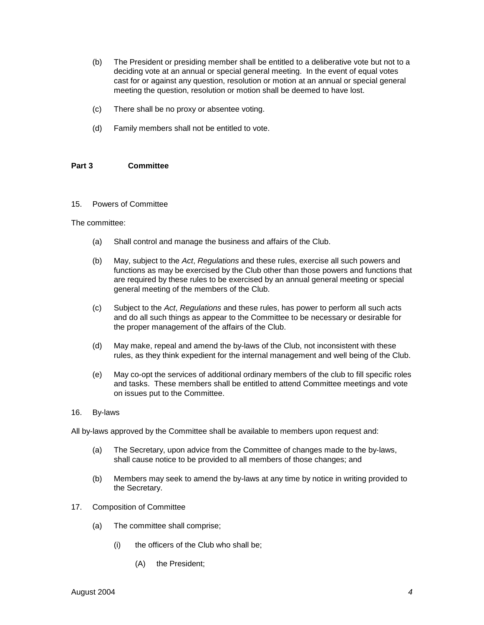- (b) The President or presiding member shall be entitled to a deliberative vote but not to a deciding vote at an annual or special general meeting. In the event of equal votes cast for or against any question, resolution or motion at an annual or special general meeting the question, resolution or motion shall be deemed to have lost.
- (c) There shall be no proxy or absentee voting.
- (d) Family members shall not be entitled to vote.

## **Part 3 Committee**

#### 15. Powers of Committee

#### The committee:

- (a) Shall control and manage the business and affairs of the Club.
- (b) May, subject to the *Act*, *Regulations* and these rules, exercise all such powers and functions as may be exercised by the Club other than those powers and functions that are required by these rules to be exercised by an annual general meeting or special general meeting of the members of the Club.
- (c) Subject to the *Act*, *Regulations* and these rules, has power to perform all such acts and do all such things as appear to the Committee to be necessary or desirable for the proper management of the affairs of the Club.
- (d) May make, repeal and amend the by-laws of the Club, not inconsistent with these rules, as they think expedient for the internal management and well being of the Club.
- (e) May co-opt the services of additional ordinary members of the club to fill specific roles and tasks. These members shall be entitled to attend Committee meetings and vote on issues put to the Committee.

#### 16. By-laws

All by-laws approved by the Committee shall be available to members upon request and:

- (a) The Secretary, upon advice from the Committee of changes made to the by-laws, shall cause notice to be provided to all members of those changes; and
- (b) Members may seek to amend the by-laws at any time by notice in writing provided to the Secretary.
- 17. Composition of Committee
	- (a) The committee shall comprise;
		- (i) the officers of the Club who shall be;
			- (A) the President;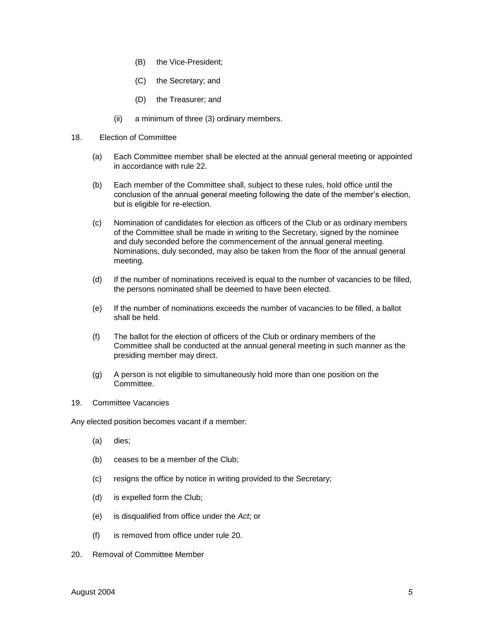- (B) the Vice-President;
- (C) the Secretary; and
- (D) the Treasurer; and
- (ii) a minimum of three (3) ordinary members.
- 18. Election of Committee
	- (a) Each Committee member shall be elected at the annual general meeting or appointed in accordance with rule 22.
	- (b) Each member of the Committee shall, subject to these rules, hold office until the conclusion of the annual general meeting following the date of the member's election, but is eligible for re-election.
	- (c) Nomination of candidates for election as officers of the Club or as ordinary members of the Committee shall be made in writing to the Secretary, signed by the nominee and duly seconded before the commencement of the annual general meeting. Nominations, duly seconded, may also be taken from the floor of the annual general meeting.
	- (d) If the number of nominations received is equal to the number of vacancies to be filled, the persons nominated shall be deemed to have been elected.
	- (e) If the number of nominations exceeds the number of vacancies to be filled, a ballot shall be held.
	- (f) The ballot for the election of officers of the Club or ordinary members of the Committee shall be conducted at the annual general meeting in such manner as the presiding member may direct.
	- (g) A person is not eligible to simultaneously hold more than one position on the Committee.
- 19. Committee Vacancies

Any elected position becomes vacant if a member:

- (a) dies;
- (b) ceases to be a member of the Club;
- (c) resigns the office by notice in writing provided to the Secretary;
- (d) is expelled form the Club;
- (e) is disqualified from office under the *Act*; or
- (f) is removed from office under rule 20.
- 20. Removal of Committee Member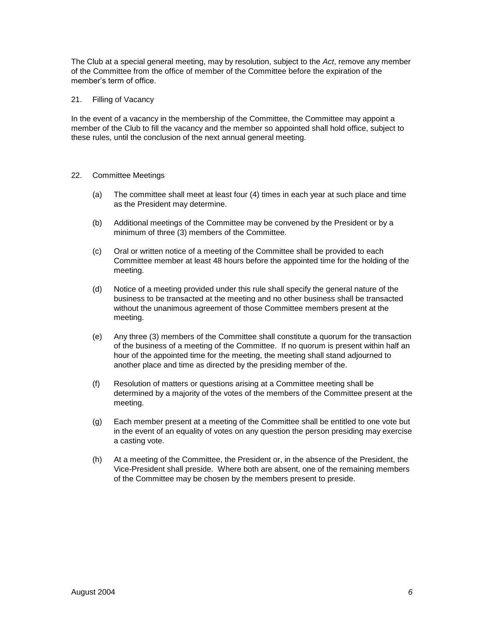The Club at a special general meeting, may by resolution, subject to the *Act*, remove any member of the Committee from the office of member of the Committee before the expiration of the member's term of office.

#### 21. Filling of Vacancy

In the event of a vacancy in the membership of the Committee, the Committee may appoint a member of the Club to fill the vacancy and the member so appointed shall hold office, subject to these rules, until the conclusion of the next annual general meeting.

# 22. Committee Meetings

- (a) The committee shall meet at least four (4) times in each year at such place and time as the President may determine.
- (b) Additional meetings of the Committee may be convened by the President or by a minimum of three (3) members of the Committee.
- (c) Oral or written notice of a meeting of the Committee shall be provided to each Committee member at least 48 hours before the appointed time for the holding of the meeting.
- (d) Notice of a meeting provided under this rule shall specify the general nature of the business to be transacted at the meeting and no other business shall be transacted without the unanimous agreement of those Committee members present at the meeting.
- (e) Any three (3) members of the Committee shall constitute a quorum for the transaction of the business of a meeting of the Committee. If no quorum is present within half an hour of the appointed time for the meeting, the meeting shall stand adjourned to another place and time as directed by the presiding member of the.
- (f) Resolution of matters or questions arising at a Committee meeting shall be determined by a majority of the votes of the members of the Committee present at the meeting.
- (g) Each member present at a meeting of the Committee shall be entitled to one vote but in the event of an equality of votes on any question the person presiding may exercise a casting vote.
- (h) At a meeting of the Committee, the President or, in the absence of the President, the Vice-President shall preside. Where both are absent, one of the remaining members of the Committee may be chosen by the members present to preside.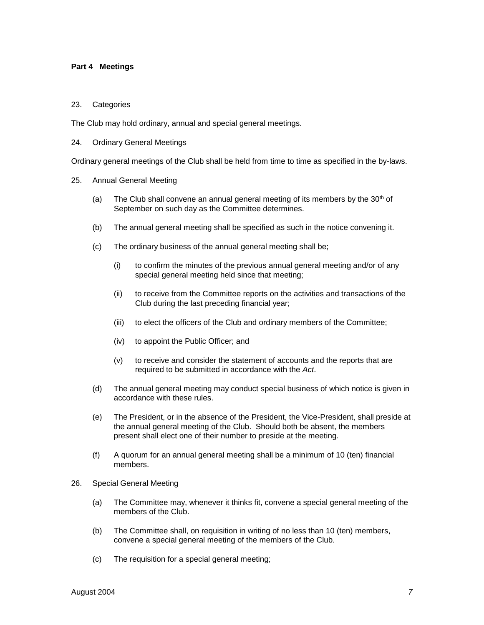#### **Part 4 Meetings**

#### 23. Categories

The Club may hold ordinary, annual and special general meetings.

24. Ordinary General Meetings

Ordinary general meetings of the Club shall be held from time to time as specified in the by-laws.

- 25. Annual General Meeting
	- (a) The Club shall convene an annual general meeting of its members by the  $30<sup>th</sup>$  of September on such day as the Committee determines.
	- (b) The annual general meeting shall be specified as such in the notice convening it.
	- (c) The ordinary business of the annual general meeting shall be;
		- (i) to confirm the minutes of the previous annual general meeting and/or of any special general meeting held since that meeting;
		- (ii) to receive from the Committee reports on the activities and transactions of the Club during the last preceding financial year;
		- (iii) to elect the officers of the Club and ordinary members of the Committee;
		- (iv) to appoint the Public Officer; and
		- (v) to receive and consider the statement of accounts and the reports that are required to be submitted in accordance with the *Act*.
	- (d) The annual general meeting may conduct special business of which notice is given in accordance with these rules.
	- (e) The President, or in the absence of the President, the Vice-President, shall preside at the annual general meeting of the Club. Should both be absent, the members present shall elect one of their number to preside at the meeting.
	- (f) A quorum for an annual general meeting shall be a minimum of 10 (ten) financial members.
- 26. Special General Meeting
	- (a) The Committee may, whenever it thinks fit, convene a special general meeting of the members of the Club.
	- (b) The Committee shall, on requisition in writing of no less than 10 (ten) members, convene a special general meeting of the members of the Club.
	- (c) The requisition for a special general meeting;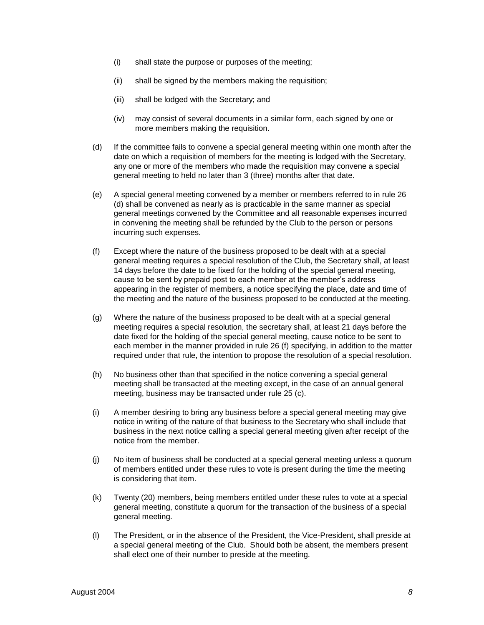- (i) shall state the purpose or purposes of the meeting;
- (ii) shall be signed by the members making the requisition;
- (iii) shall be lodged with the Secretary; and
- (iv) may consist of several documents in a similar form, each signed by one or more members making the requisition.
- (d) If the committee fails to convene a special general meeting within one month after the date on which a requisition of members for the meeting is lodged with the Secretary, any one or more of the members who made the requisition may convene a special general meeting to held no later than 3 (three) months after that date.
- (e) A special general meeting convened by a member or members referred to in rule 26 (d) shall be convened as nearly as is practicable in the same manner as special general meetings convened by the Committee and all reasonable expenses incurred in convening the meeting shall be refunded by the Club to the person or persons incurring such expenses.
- (f) Except where the nature of the business proposed to be dealt with at a special general meeting requires a special resolution of the Club, the Secretary shall, at least 14 days before the date to be fixed for the holding of the special general meeting, cause to be sent by prepaid post to each member at the member's address appearing in the register of members, a notice specifying the place, date and time of the meeting and the nature of the business proposed to be conducted at the meeting.
- (g) Where the nature of the business proposed to be dealt with at a special general meeting requires a special resolution, the secretary shall, at least 21 days before the date fixed for the holding of the special general meeting, cause notice to be sent to each member in the manner provided in rule 26 (f) specifying, in addition to the matter required under that rule, the intention to propose the resolution of a special resolution.
- (h) No business other than that specified in the notice convening a special general meeting shall be transacted at the meeting except, in the case of an annual general meeting, business may be transacted under rule 25 (c).
- (i) A member desiring to bring any business before a special general meeting may give notice in writing of the nature of that business to the Secretary who shall include that business in the next notice calling a special general meeting given after receipt of the notice from the member.
- (j) No item of business shall be conducted at a special general meeting unless a quorum of members entitled under these rules to vote is present during the time the meeting is considering that item.
- (k) Twenty (20) members, being members entitled under these rules to vote at a special general meeting, constitute a quorum for the transaction of the business of a special general meeting.
- (l) The President, or in the absence of the President, the Vice-President, shall preside at a special general meeting of the Club. Should both be absent, the members present shall elect one of their number to preside at the meeting.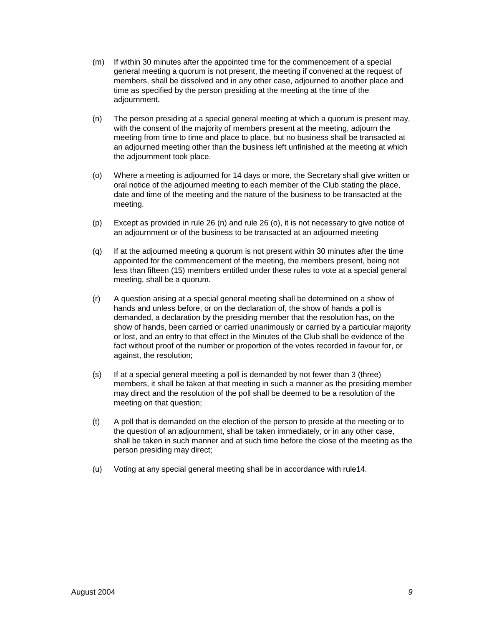- (m) If within 30 minutes after the appointed time for the commencement of a special general meeting a quorum is not present, the meeting if convened at the request of members, shall be dissolved and in any other case, adjourned to another place and time as specified by the person presiding at the meeting at the time of the adjournment.
- (n) The person presiding at a special general meeting at which a quorum is present may, with the consent of the majority of members present at the meeting, adjourn the meeting from time to time and place to place, but no business shall be transacted at an adjourned meeting other than the business left unfinished at the meeting at which the adjournment took place.
- (o) Where a meeting is adjourned for 14 days or more, the Secretary shall give written or oral notice of the adjourned meeting to each member of the Club stating the place, date and time of the meeting and the nature of the business to be transacted at the meeting.
- (p) Except as provided in rule 26 (n) and rule 26 (o), it is not necessary to give notice of an adjournment or of the business to be transacted at an adjourned meeting
- (q) If at the adjourned meeting a quorum is not present within 30 minutes after the time appointed for the commencement of the meeting, the members present, being not less than fifteen (15) members entitled under these rules to vote at a special general meeting, shall be a quorum.
- (r) A question arising at a special general meeting shall be determined on a show of hands and unless before, or on the declaration of, the show of hands a poll is demanded, a declaration by the presiding member that the resolution has, on the show of hands, been carried or carried unanimously or carried by a particular majority or lost, and an entry to that effect in the Minutes of the Club shall be evidence of the fact without proof of the number or proportion of the votes recorded in favour for, or against, the resolution;
- (s) If at a special general meeting a poll is demanded by not fewer than 3 (three) members, it shall be taken at that meeting in such a manner as the presiding member may direct and the resolution of the poll shall be deemed to be a resolution of the meeting on that question;
- (t) A poll that is demanded on the election of the person to preside at the meeting or to the question of an adjournment, shall be taken immediately, or in any other case, shall be taken in such manner and at such time before the close of the meeting as the person presiding may direct;
- (u) Voting at any special general meeting shall be in accordance with rule14.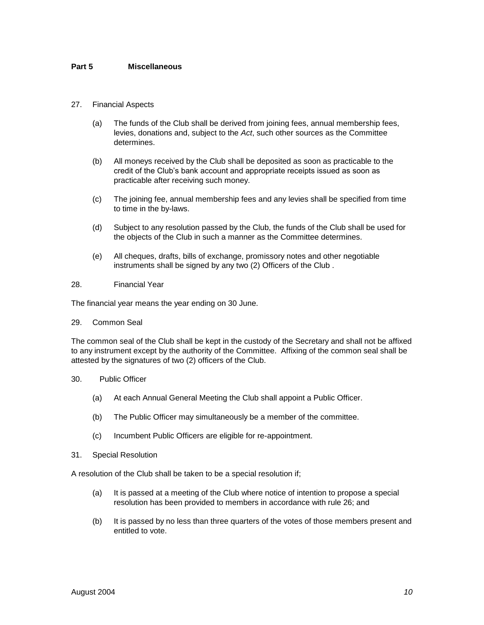## **Part 5 Miscellaneous**

## 27. Financial Aspects

- (a) The funds of the Club shall be derived from joining fees, annual membership fees, levies, donations and, subject to the *Act*, such other sources as the Committee determines.
- (b) All moneys received by the Club shall be deposited as soon as practicable to the credit of the Club's bank account and appropriate receipts issued as soon as practicable after receiving such money.
- (c) The joining fee, annual membership fees and any levies shall be specified from time to time in the by-laws.
- (d) Subject to any resolution passed by the Club, the funds of the Club shall be used for the objects of the Club in such a manner as the Committee determines.
- (e) All cheques, drafts, bills of exchange, promissory notes and other negotiable instruments shall be signed by any two (2) Officers of the Club .

## 28. Financial Year

The financial year means the year ending on 30 June.

#### 29. Common Seal

The common seal of the Club shall be kept in the custody of the Secretary and shall not be affixed to any instrument except by the authority of the Committee. Affixing of the common seal shall be attested by the signatures of two (2) officers of the Club.

#### 30. Public Officer

- (a) At each Annual General Meeting the Club shall appoint a Public Officer.
- (b) The Public Officer may simultaneously be a member of the committee.
- (c) Incumbent Public Officers are eligible for re-appointment.
- 31. Special Resolution

A resolution of the Club shall be taken to be a special resolution if;

- (a) It is passed at a meeting of the Club where notice of intention to propose a special resolution has been provided to members in accordance with rule 26; and
- (b) It is passed by no less than three quarters of the votes of those members present and entitled to vote.